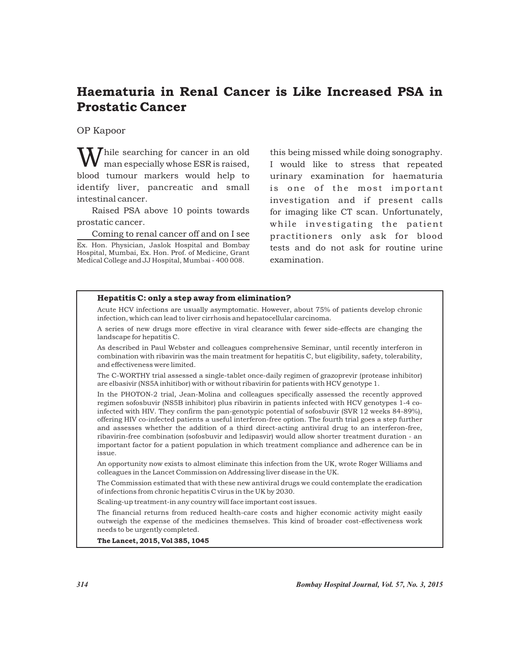# Haematuria in Renal Cancer is Like Increased PSA in Prostatic Cancer

OP Kapoor

 $\boldsymbol{J}$  hile searching for cancer in an old man especially whose ESR is raised, blood tumour markers would help to identify liver, pancreatic and small intestinal cancer.

Raised PSA above 10 points towards prostatic cancer.

Coming to renal cancer off and on I see

Ex. Hon. Physician, Jaslok Hospital and Bombay Hospital, Mumbai, Ex. Hon. Prof. of Medicine, Grant Medical College and JJ Hospital, Mumbai - 400 008.

this being missed while doing sonography. I would like to stress that repeated urinary examination for haematuria is one of the most important investigation and if present calls for imaging like CT scan. Unfortunately, while investigating the patient practitioners only ask for blood tests and do not ask for routine urine examination.

### Hepatitis C: only a step away from elimination?

Acute HCV infections are usually asymptomatic. However, about 75% of patients develop chronic infection, which can lead to liver cirrhosis and hepatocellular carcinoma.

A series of new drugs more effective in viral clearance with fewer side-effects are changing the landscape for hepatitis C.

As described in Paul Webster and colleagues comprehensive Seminar, until recently interferon in combination with ribavirin was the main treatment for hepatitis C, but eligibility, safety, tolerability, and effectiveness were limited.

The C-WORTHY trial assessed a single-tablet once-daily regimen of grazoprevir (protease inhibitor) are elbasivir (NS5A inhitibor) with or without ribavirin for patients with HCV genotype 1.

In the PHOTON-2 trial, Jean-Molina and colleagues specifically assessed the recently approved regimen sofosbuvir (NS5B inhibitor) plus ribavirin in patients infected with HCV genotypes 1-4 coinfected with HIV. They confirm the pan-genotypic potential of sofosbuvir (SVR 12 weeks 84-89%), offering HIV co-infected patients a useful interferon-free option. The fourth trial goes a step further and assesses whether the addition of a third direct-acting antiviral drug to an interferon-free, ribavirin-free combination (sofosbuvir and ledipasvir) would allow shorter treatment duration - an important factor for a patient population in which treatment compliance and adherence can be in issue.

An opportunity now exists to almost eliminate this infection from the UK, wrote Roger Williams and colleagues in the Lancet Commission on Addressing liver disease in the UK.

The Commission estimated that with these new antiviral drugs we could contemplate the eradication of infections from chronic hepatitis C virus in the UK by 2030.

Scaling-up treatment-in any country will face important cost issues.

The financial returns from reduced health-care costs and higher economic activity might easily outweigh the expense of the medicines themselves. This kind of broader cost-effectiveness work needs to be urgently completed.

The Lancet, 2015, Vol 385, 1045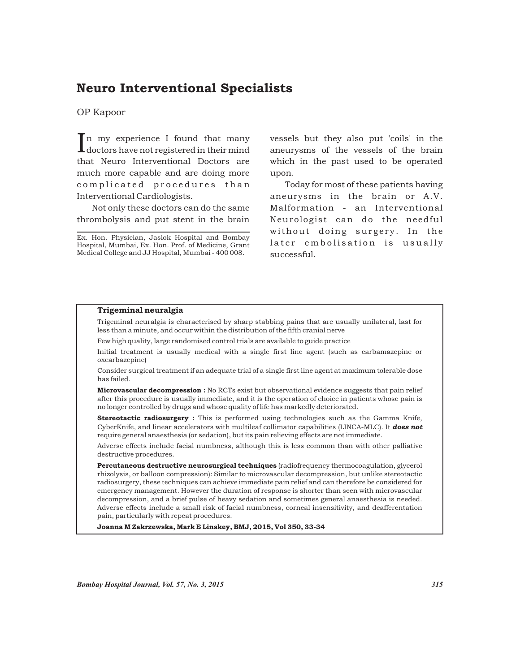### Neuro Interventional Specialists

OP Kapoor

 $\prod$ n my experience I found that many doctors have not registered in their mind that Neuro Interventional Doctors are much more capable and are doing more complicated procedures than Interventional Cardiologists.

Not only these doctors can do the same thrombolysis and put stent in the brain

Ex. Hon. Physician, Jaslok Hospital and Bombay Hospital, Mumbai, Ex. Hon. Prof. of Medicine, Grant Medical College and JJ Hospital, Mumbai - 400 008.

vessels but they also put 'coils' in the aneurysms of the vessels of the brain which in the past used to be operated upon.

Today for most of these patients having aneurysms in the brain or A.V. Malformation - an Interventional Neurologist can do the needful without doing surgery. In the later embolisation is usually successful.

#### Trigeminal neuralgia

Trigeminal neuralgia is characterised by sharp stabbing pains that are usually unilateral, last for less than a minute, and occur within the distribution of the fifth cranial nerve

Few high quality, large randomised control trials are available to guide practice

Initial treatment is usually medical with a single first line agent (such as carbamazepine or oxcarbazepine)

Consider surgical treatment if an adequate trial of a single first line agent at maximum tolerable dose has failed.

Microvascular decompression : No RCTs exist but observational evidence suggests that pain relief after this procedure is usually immediate, and it is the operation of choice in patients whose pain is no longer controlled by drugs and whose quality of life has markedly deteriorated.

Stereotactic radiosurgery : This is performed using technologies such as the Gamma Knife, CyberKnife, and linear accelerators with multileaf collimator capabilities (LINCA-MLC). It *does not* require general anaesthesia (or sedation), but its pain relieving effects are not immediate.

Adverse effects include facial numbness, although this is less common than with other palliative destructive procedures.

Percutaneous destructive neurosurgical techniques (radiofrequency thermocoagulation, glycerol rhizolysis, or balloon compression): Similar to microvascular decompression, but unlike stereotactic radiosurgery, these techniques can achieve immediate pain relief and can therefore be considered for emergency management. However the duration of response is shorter than seen with microvascular decompression, and a brief pulse of heavy sedation and sometimes general anaesthesia is needed. Adverse effects include a small risk of facial numbness, corneal insensitivity, and deafferentation pain, particularly with repeat procedures.

Joanna M Zakrzewska, Mark E Linskey, BMJ, 2015, Vol 350, 33-34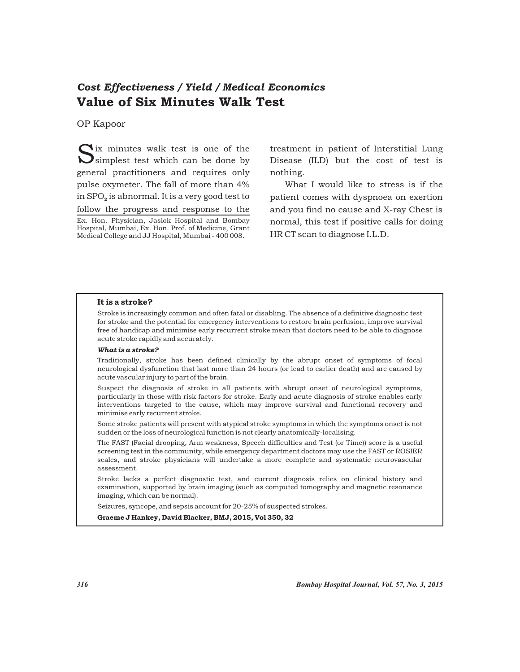## *Cost Effectiveness / Yield / Medical Economics* Value of Six Minutes Walk Test

OP Kapoor

Ex. Hon. Physician, Jaslok Hospital and Bombay Hospital, Mumbai, Ex. Hon. Prof. of Medicine, Grant Medical College and JJ Hospital, Mumbai - 400 008. Six minutes walk test is one of the Simplest test which can be done by general practitioners and requires only pulse oxymeter. The fall of more than 4% in  $SPO<sub>2</sub>$  is abnormal. It is a very good test to follow the progress and response to the

treatment in patient of Interstitial Lung Disease (ILD) but the cost of test is nothing.

What I would like to stress is if the patient comes with dyspnoea on exertion and you find no cause and X-ray Chest is normal, this test if positive calls for doing HR CT scan to diagnose I.L.D.

#### It is a stroke?

Stroke is increasingly common and often fatal or disabling. The absence of a definitive diagnostic test for stroke and the potential for emergency interventions to restore brain perfusion, improve survival free of handicap and minimise early recurrent stroke mean that doctors need to be able to diagnose acute stroke rapidly and accurately.

#### *What is a stroke?*

Traditionally, stroke has been defined clinically by the abrupt onset of symptoms of focal neurological dysfunction that last more than 24 hours (or lead to earlier death) and are caused by acute vascular injury to part of the brain.

Suspect the diagnosis of stroke in all patients with abrupt onset of neurological symptoms, particularly in those with risk factors for stroke. Early and acute diagnosis of stroke enables early interventions targeted to the cause, which may improve survival and functional recovery and minimise early recurrent stroke.

Some stroke patients will present with atypical stroke symptoms in which the symptoms onset is not sudden or the loss of neurological function is not clearly anatomically-localising.

The FAST (Facial drooping, Arm weakness, Speech difficulties and Test (or Time)) score is a useful screening test in the community, while emergency department doctors may use the FAST or ROSIER scales, and stroke physicians will undertake a more complete and systematic neurovascular assessment.

Stroke lacks a perfect diagnostic test, and current diagnosis relies on clinical history and examination, supported by brain imaging (such as computed tomography and magnetic resonance imaging, which can be normal).

Seizures, syncope, and sepsis account for 20-25% of suspected strokes.

Graeme J Hankey, David Blacker, BMJ, 2015, Vol 350, 32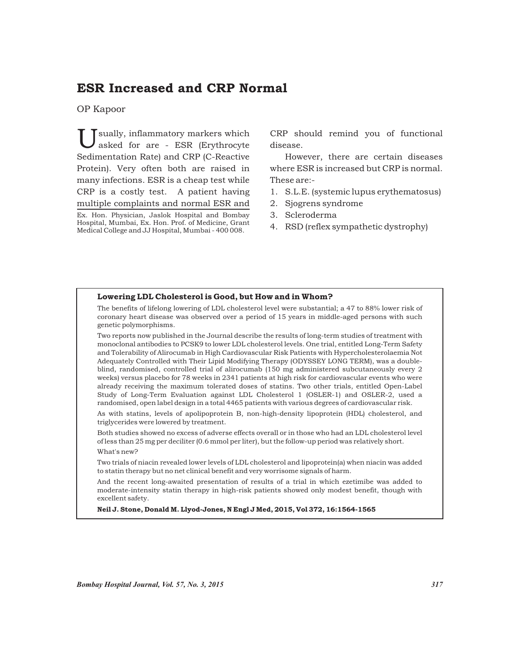## ESR Increased and CRP Normal

OP Kapoor

sually, inflammatory markers which<br>asked for are - ESR (Erythrocyte Sedimentation Rate) and CRP (C-Reactive Protein). Very often both are raised in many infections. ESR is a cheap test while CRP is a costly test. A patient having multiple complaints and normal ESR and

CRP should remind you of functional disease.

However, there are certain diseases where ESR is increased but CRP is normal. These are:-

- 1. S.L.E. (systemic lupus erythematosus)
- 2. Sjogrens syndrome
- 3. Scleroderma
- 4. RSD (reflex sympathetic dystrophy)

#### Lowering LDL Cholesterol is Good, but How and in Whom?

The benefits of lifelong lowering of LDL cholesterol level were substantial; a 47 to 88% lower risk of coronary heart disease was observed over a period of 15 years in middle-aged persons with such genetic polymorphisms.

Two reports now published in the Journal describe the results of long-term studies of treatment with monoclonal antibodies to PCSK9 to lower LDL cholesterol levels. One trial, entitled Long-Term Safety and Tolerability of Alirocumab in High Cardiovascular Risk Patients with Hypercholesterolaemia Not Adequately Controlled with Their Lipid Modifying Therapy (ODYSSEY LONG TERM), was a doubleblind, randomised, controlled trial of alirocumab (150 mg administered subcutaneously every 2 weeks) versus placebo for 78 weeks in 2341 patients at high risk for cardiovascular events who were already receiving the maximum tolerated doses of statins. Two other trials, entitled Open-Label Study of Long-Term Evaluation against LDL Cholesterol 1 (OSLER-1) and OSLER-2, used a randomised, open label design in a total 4465 patients with various degrees of cardiovascular risk.

As with statins, levels of apolipoprotein B, non-high-density lipoprotein (HDL) cholesterol, and triglycerides were lowered by treatment.

Both studies showed no excess of adverse effects overall or in those who had an LDL cholesterol level of less than 25 mg per deciliter (0.6 mmol per liter), but the follow-up period was relatively short. What's new?

Two trials of niacin revealed lower levels of LDL cholesterol and lipoprotein(a) when niacin was added to statin therapy but no net clinical benefit and very worrisome signals of harm.

And the recent long-awaited presentation of results of a trial in which ezetimibe was added to moderate-intensity statin therapy in high-risk patients showed only modest benefit, though with excellent safety.

Neil J. Stone, Donald M. Llyod-Jones, N Engl J Med, 2015, Vol 372, 16:1564-1565

Ex. Hon. Physician, Jaslok Hospital and Bombay Hospital, Mumbai, Ex. Hon. Prof. of Medicine, Grant Medical College and JJ Hospital, Mumbai - 400 008.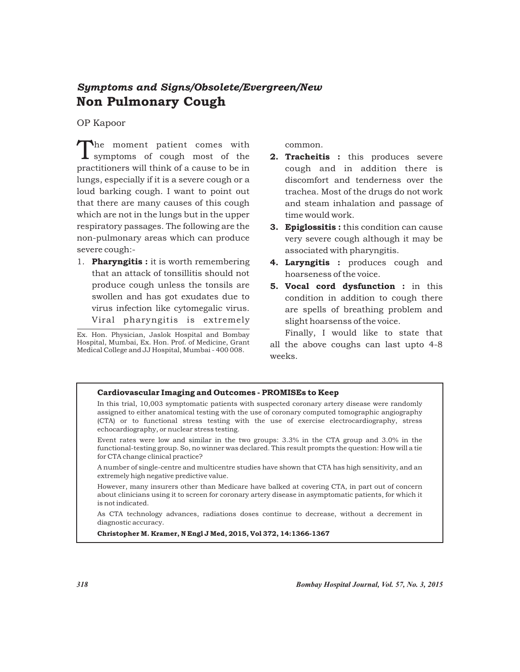# Non Pulmonary Cough *Symptoms and Signs/Obsolete/Evergreen/New*

OP Kapoor

The moment patient comes with  $\sum_{n=1}^{\infty}$  symptoms of cough most of the practitioners will think of a cause to be in lungs, especially if it is a severe cough or a loud barking cough. I want to point out that there are many causes of this cough which are not in the lungs but in the upper respiratory passages. The following are the non-pulmonary areas which can produce severe cough:-

1. **Pharyngitis :** it is worth remembering that an attack of tonsillitis should not produce cough unless the tonsils are swollen and has got exudates due to virus infection like cytomegalic virus. Viral pharyngitis is extremely

Ex. Hon. Physician, Jaslok Hospital and Bombay Hospital, Mumbai, Ex. Hon. Prof. of Medicine, Grant Medical College and JJ Hospital, Mumbai - 400 008.

common.

- 2. Tracheitis : this produces severe cough and in addition there is discomfort and tenderness over the trachea. Most of the drugs do not work and steam inhalation and passage of time would work.
- **3. Epiglossitis:** this condition can cause very severe cough although it may be associated with pharyngitis.
- 4. Laryngitis : produces cough and hoarseness of the voice.
- 5. Vocal cord dysfunction : in this condition in addition to cough there are spells of breathing problem and slight hoarsenss of the voice.

Finally, I would like to state that all the above coughs can last upto 4-8 weeks.

### Cardiovascular Imaging and Outcomes - PROMISEs to Keep

In this trial, 10,003 symptomatic patients with suspected coronary artery disease were randomly assigned to either anatomical testing with the use of coronary computed tomographic angiography (CTA) or to functional stress testing with the use of exercise electrocardiography, stress echocardiography, or nuclear stress testing.

Event rates were low and similar in the two groups: 3.3% in the CTA group and 3.0% in the functional-testing group. So, no winner was declared. This result prompts the question: How will a tie for CTA change clinical practice?

A number of single-centre and multicentre studies have shown that CTA has high sensitivity, and an extremely high negative predictive value.

However, many insurers other than Medicare have balked at covering CTA, in part out of concern about clinicians using it to screen for coronary artery disease in asymptomatic patients, for which it is not indicated.

As CTA technology advances, radiations doses continue to decrease, without a decrement in diagnostic accuracy.

Christopher M. Kramer, N Engl J Med, 2015, Vol 372, 14:1366-1367